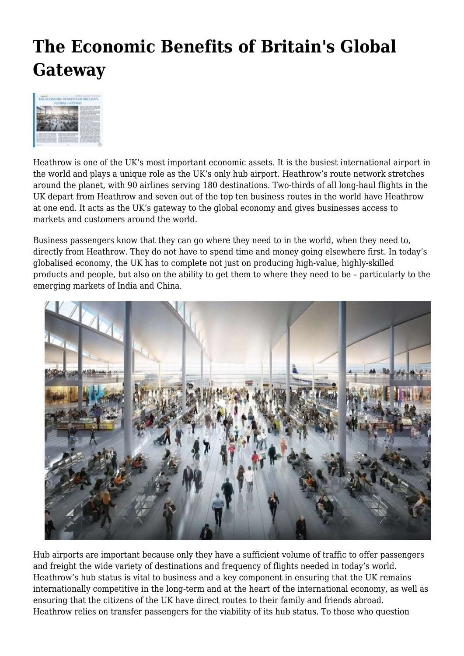## **The Economic Benefits of Britain's Global Gateway**



Heathrow is one of the UK's most important economic assets. It is the busiest international airport in the world and plays a unique role as the UK's only hub airport. Heathrow's route network stretches around the planet, with 90 airlines serving 180 destinations. Two-thirds of all long-haul flights in the UK depart from Heathrow and seven out of the top ten business routes in the world have Heathrow at one end. It acts as the UK's gateway to the global economy and gives businesses access to markets and customers around the world.

Business passengers know that they can go where they need to in the world, when they need to, directly from Heathrow. They do not have to spend time and money going elsewhere first. In today's globalised economy, the UK has to complete not just on producing high-value, highly-skilled products and people, but also on the ability to get them to where they need to be – particularly to the emerging markets of India and China.



Hub airports are important because only they have a sufficient volume of traffic to offer passengers and freight the wide variety of destinations and frequency of flights needed in today's world. Heathrow's hub status is vital to business and a key component in ensuring that the UK remains internationally competitive in the long-term and at the heart of the international economy, as well as ensuring that the citizens of the UK have direct routes to their family and friends abroad. Heathrow relies on transfer passengers for the viability of its hub status. To those who question